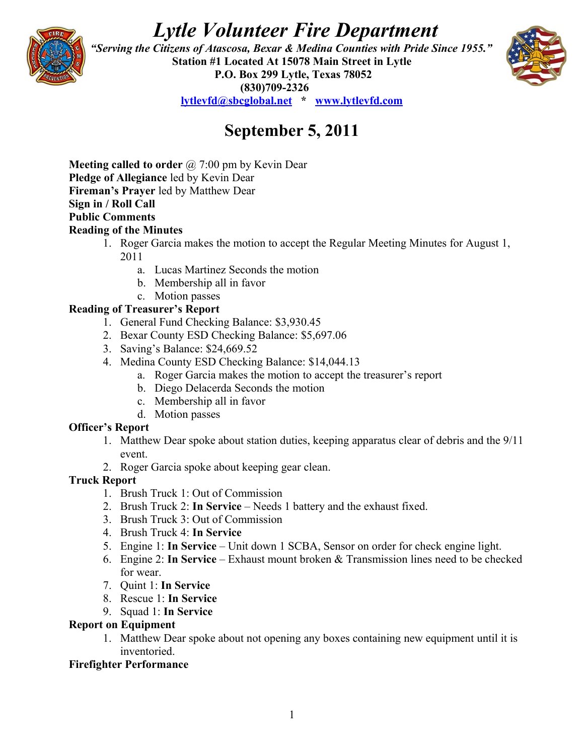# *Lytle Volunteer Fire Department*



 *"Serving the Citizens of Atascosa, Bexar & Medina Counties with Pride Since 1955."*  **Station #1 Located At 15078 Main Street in Lytle P.O. Box 299 Lytle, Texas 78052 (830)709-2326 [lytlevfd@sbcglobal.net](mailto:lytlevfd@sbcglobal.net) \* [www.lytlevfd.com](http://www.lytlevfd.com/)**



## **September 5, 2011**

**Meeting called to order** @ 7:00 pm by Kevin Dear **Pledge of Allegiance** led by Kevin Dear **Fireman's Prayer** led by Matthew Dear **Sign in / Roll Call Public Comments Reading of the Minutes**

- 1. Roger Garcia makes the motion to accept the Regular Meeting Minutes for August 1, 2011
	- a. Lucas Martinez Seconds the motion
	- b. Membership all in favor
- c. Motion passes

## **Reading of Treasurer's Report**

- 1. General Fund Checking Balance: \$3,930.45
- 2. Bexar County ESD Checking Balance: \$5,697.06
- 3. Saving's Balance: \$24,669.52
- 4. Medina County ESD Checking Balance: \$14,044.13
	- a. Roger Garcia makes the motion to accept the treasurer's report
	- b. Diego Delacerda Seconds the motion
	- c. Membership all in favor
	- d. Motion passes

## **Officer's Report**

- 1. Matthew Dear spoke about station duties, keeping apparatus clear of debris and the 9/11 event.
- 2. Roger Garcia spoke about keeping gear clean.

## **Truck Report**

- 1. Brush Truck 1: Out of Commission
- 2. Brush Truck 2: **In Service**  Needs 1 battery and the exhaust fixed.
- 3. Brush Truck 3: Out of Commission
- 4. Brush Truck 4: **In Service**
- 5. Engine 1: **In Service**  Unit down 1 SCBA, Sensor on order for check engine light.
- 6. Engine 2: **In Service** Exhaust mount broken & Transmission lines need to be checked for wear.
- 7. Quint 1: **In Service**
- 8. Rescue 1: **In Service**
- 9. Squad 1: **In Service**

## **Report on Equipment**

1. Matthew Dear spoke about not opening any boxes containing new equipment until it is inventoried.

## **Firefighter Performance**